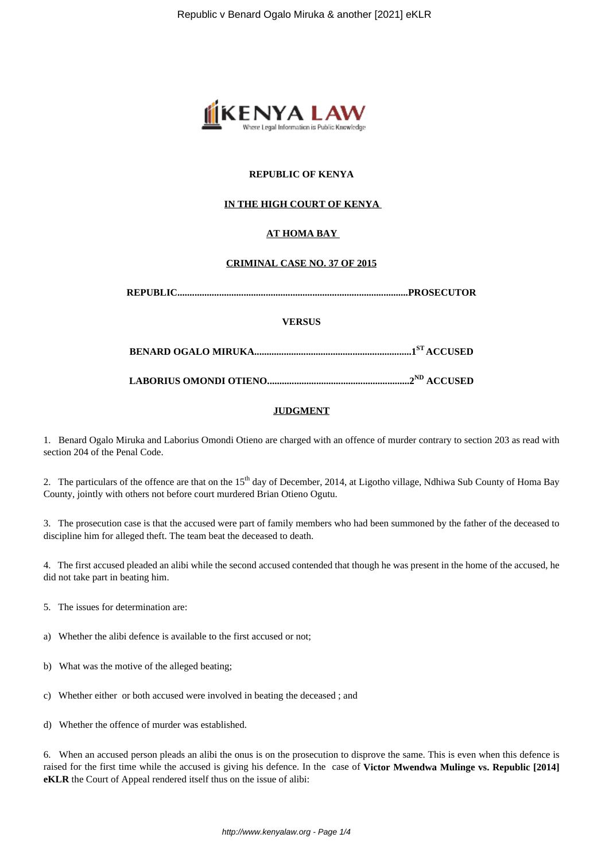

# **REPUBLIC OF KENYA**

# **IN THE HIGH COURT OF KENYA**

# **AT HOMA BAY**

## **CRIMINAL CASE NO. 37 OF 2015**

|--|--|

#### **VERSUS**

**BENARD OGALO MIRUKA................................................................1ST ACCUSED**

**LABORIUS OMONDI OTIENO..........................................................2ND ACCUSED**

#### **JUDGMENT**

1. Benard Ogalo Miruka and Laborius Omondi Otieno are charged with an offence of murder contrary to section 203 as read with section 204 of the Penal Code.

2. The particulars of the offence are that on the  $15<sup>th</sup>$  day of December, 2014, at Ligotho village, Ndhiwa Sub County of Homa Bay County, jointly with others not before court murdered Brian Otieno Ogutu.

3. The prosecution case is that the accused were part of family members who had been summoned by the father of the deceased to discipline him for alleged theft. The team beat the deceased to death.

4. The first accused pleaded an alibi while the second accused contended that though he was present in the home of the accused, he did not take part in beating him.

- 5. The issues for determination are:
- a) Whether the alibi defence is available to the first accused or not;
- b) What was the motive of the alleged beating;
- c) Whether either or both accused were involved in beating the deceased ; and
- d) Whether the offence of murder was established.

6. When an accused person pleads an alibi the onus is on the prosecution to disprove the same. This is even when this defence is raised for the first time while the accused is giving his defence. In the case of **Victor Mwendwa Mulinge vs. Republic [2014] eKLR** the Court of Appeal rendered itself thus on the issue of alibi: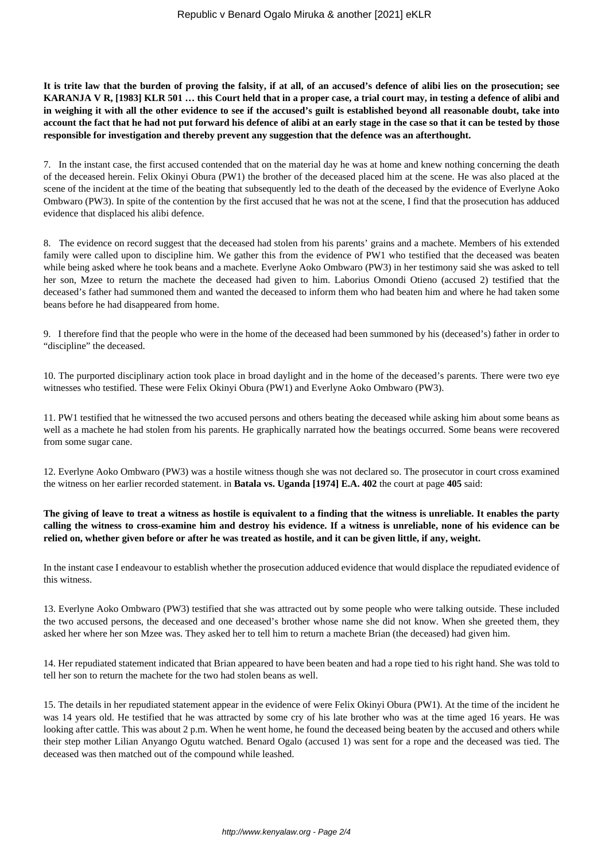**It is trite law that the burden of proving the falsity, if at all, of an accused's defence of alibi lies on the prosecution; see KARANJA V R, [1983] KLR 501 … this Court held that in a proper case, a trial court may, in testing a defence of alibi and in weighing it with all the other evidence to see if the accused's guilt is established beyond all reasonable doubt, take into account the fact that he had not put forward his defence of alibi at an early stage in the case so that it can be tested by those responsible for investigation and thereby prevent any suggestion that the defence was an afterthought.**

7. In the instant case, the first accused contended that on the material day he was at home and knew nothing concerning the death of the deceased herein. Felix Okinyi Obura (PW1) the brother of the deceased placed him at the scene. He was also placed at the scene of the incident at the time of the beating that subsequently led to the death of the deceased by the evidence of Everlyne Aoko Ombwaro (PW3). In spite of the contention by the first accused that he was not at the scene, I find that the prosecution has adduced evidence that displaced his alibi defence.

8. The evidence on record suggest that the deceased had stolen from his parents' grains and a machete. Members of his extended family were called upon to discipline him. We gather this from the evidence of PW1 who testified that the deceased was beaten while being asked where he took beans and a machete. Everlyne Aoko Ombwaro (PW3) in her testimony said she was asked to tell her son, Mzee to return the machete the deceased had given to him. Laborius Omondi Otieno (accused 2) testified that the deceased's father had summoned them and wanted the deceased to inform them who had beaten him and where he had taken some beans before he had disappeared from home.

9. I therefore find that the people who were in the home of the deceased had been summoned by his (deceased's) father in order to "discipline" the deceased.

10. The purported disciplinary action took place in broad daylight and in the home of the deceased's parents. There were two eye witnesses who testified. These were Felix Okinyi Obura (PW1) and Everlyne Aoko Ombwaro (PW3).

11. PW1 testified that he witnessed the two accused persons and others beating the deceased while asking him about some beans as well as a machete he had stolen from his parents. He graphically narrated how the beatings occurred. Some beans were recovered from some sugar cane.

12. Everlyne Aoko Ombwaro (PW3) was a hostile witness though she was not declared so. The prosecutor in court cross examined the witness on her earlier recorded statement. in **Batala vs. Uganda [1974] E.A. 402** the court at page **405** said:

**The giving of leave to treat a witness as hostile is equivalent to a finding that the witness is unreliable. It enables the party calling the witness to cross-examine him and destroy his evidence. If a witness is unreliable, none of his evidence can be relied on, whether given before or after he was treated as hostile, and it can be given little, if any, weight.**

In the instant case I endeavour to establish whether the prosecution adduced evidence that would displace the repudiated evidence of this witness.

13. Everlyne Aoko Ombwaro (PW3) testified that she was attracted out by some people who were talking outside. These included the two accused persons, the deceased and one deceased's brother whose name she did not know. When she greeted them, they asked her where her son Mzee was. They asked her to tell him to return a machete Brian (the deceased) had given him.

14. Her repudiated statement indicated that Brian appeared to have been beaten and had a rope tied to his right hand. She was told to tell her son to return the machete for the two had stolen beans as well.

15. The details in her repudiated statement appear in the evidence of were Felix Okinyi Obura (PW1). At the time of the incident he was 14 years old. He testified that he was attracted by some cry of his late brother who was at the time aged 16 years. He was looking after cattle. This was about 2 p.m. When he went home, he found the deceased being beaten by the accused and others while their step mother Lilian Anyango Ogutu watched. Benard Ogalo (accused 1) was sent for a rope and the deceased was tied. The deceased was then matched out of the compound while leashed.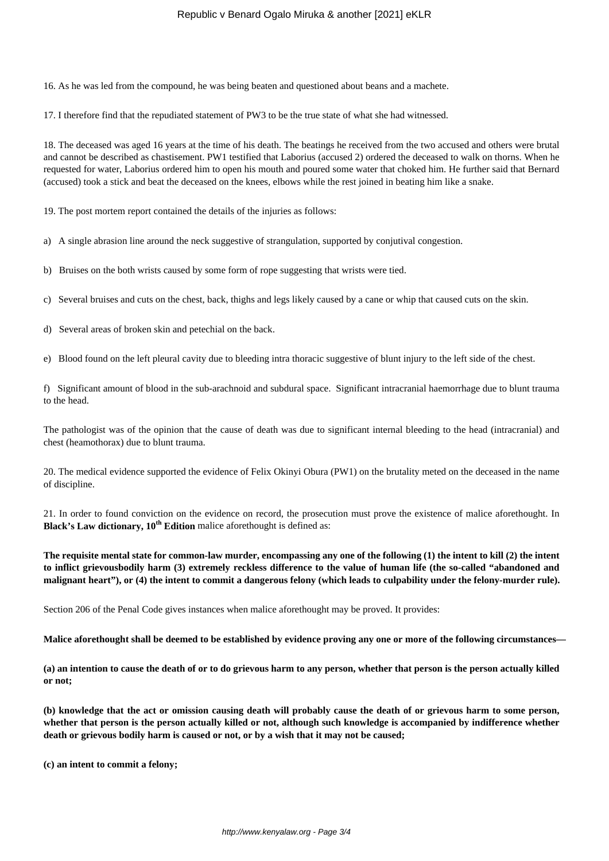## Republic v Benard Ogalo Miruka & another [2021] eKLR

16. As he was led from the compound, he was being beaten and questioned about beans and a machete.

17. I therefore find that the repudiated statement of PW3 to be the true state of what she had witnessed.

18. The deceased was aged 16 years at the time of his death. The beatings he received from the two accused and others were brutal and cannot be described as chastisement. PW1 testified that Laborius (accused 2) ordered the deceased to walk on thorns. When he requested for water, Laborius ordered him to open his mouth and poured some water that choked him. He further said that Bernard (accused) took a stick and beat the deceased on the knees, elbows while the rest joined in beating him like a snake.

19. The post mortem report contained the details of the injuries as follows:

a) A single abrasion line around the neck suggestive of strangulation, supported by conjutival congestion.

b) Bruises on the both wrists caused by some form of rope suggesting that wrists were tied.

c) Several bruises and cuts on the chest, back, thighs and legs likely caused by a cane or whip that caused cuts on the skin.

d) Several areas of broken skin and petechial on the back.

e) Blood found on the left pleural cavity due to bleeding intra thoracic suggestive of blunt injury to the left side of the chest.

f) Significant amount of blood in the sub-arachnoid and subdural space. Significant intracranial haemorrhage due to blunt trauma to the head.

The pathologist was of the opinion that the cause of death was due to significant internal bleeding to the head (intracranial) and chest (heamothorax) due to blunt trauma.

20. The medical evidence supported the evidence of Felix Okinyi Obura (PW1) on the brutality meted on the deceased in the name of discipline.

21. In order to found conviction on the evidence on record, the prosecution must prove the existence of malice aforethought. In **Black's Law dictionary,**  $10^{th}$  **Edition malice aforethought is defined as:** 

**The requisite mental state for common-law murder, encompassing any one of the following (1) the intent to kill (2) the intent to inflict grievousbodily harm (3) extremely reckless difference to the value of human life (the so-called "abandoned and malignant heart"), or (4) the intent to commit a dangerous felony (which leads to culpability under the felony-murder rule).**

Section 206 of the Penal Code gives instances when malice aforethought may be proved. It provides:

**Malice aforethought shall be deemed to be established by evidence proving any one or more of the following circumstances—**

**(a) an intention to cause the death of or to do grievous harm to any person, whether that person is the person actually killed or not;**

**(b) knowledge that the act or omission causing death will probably cause the death of or grievous harm to some person, whether that person is the person actually killed or not, although such knowledge is accompanied by indifference whether death or grievous bodily harm is caused or not, or by a wish that it may not be caused;**

**(c) an intent to commit a felony;**